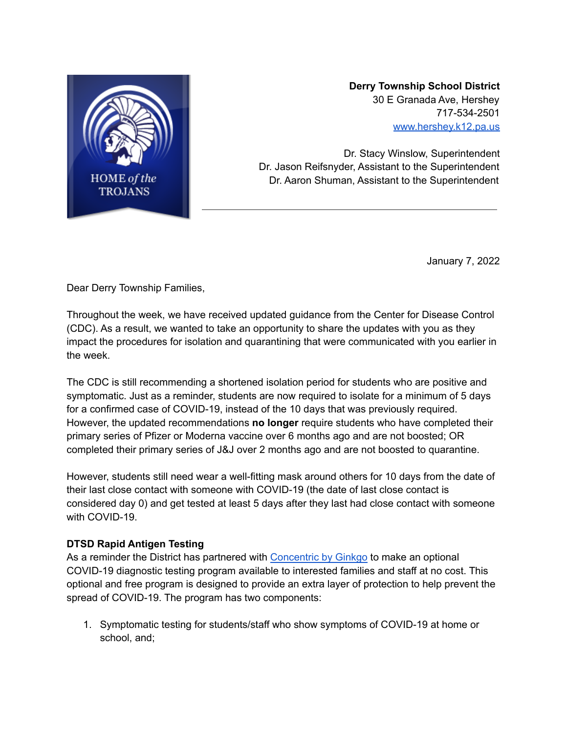

**Derry Township School District** 30 E Granada Ave, Hershey 717-534-2501 [www.hershey.k12.pa.us](http://www.hershey.k12.pa.us)

Dr. Stacy Winslow, Superintendent Dr. Jason Reifsnyder, Assistant to the Superintendent Dr. Aaron Shuman, Assistant to the Superintendent

January 7, 2022

Dear Derry Township Families,

Throughout the week, we have received updated guidance from the Center for Disease Control (CDC). As a result, we wanted to take an opportunity to share the updates with you as they impact the procedures for isolation and quarantining that were communicated with you earlier in the week.

The CDC is still recommending a shortened isolation period for students who are positive and symptomatic. Just as a reminder, students are now required to isolate for a minimum of 5 days for a confirmed case of COVID-19, instead of the 10 days that was previously required. However, the updated recommendations **no longer** require students who have completed their primary series of Pfizer or Moderna vaccine over 6 months ago and are not boosted; OR completed their primary series of J&J over 2 months ago and are not boosted to quarantine.

However, students still need wear a well-fitting mask around others for 10 days from the date of their last close contact with someone with COVID-19 (the date of last close contact is considered day 0) and get tested at least 5 days after they last had close contact with someone with COVID-19.

## **DTSD Rapid Antigen Testing**

As a reminder the District has partnered with [Concentric](https://www.concentricbyginkgo.com/) by Ginkgo to make an optional COVID-19 diagnostic testing program available to interested families and staff at no cost. This optional and free program is designed to provide an extra layer of protection to help prevent the spread of COVID-19. The program has two components:

1. Symptomatic testing for students/staff who show symptoms of COVID-19 at home or school, and;